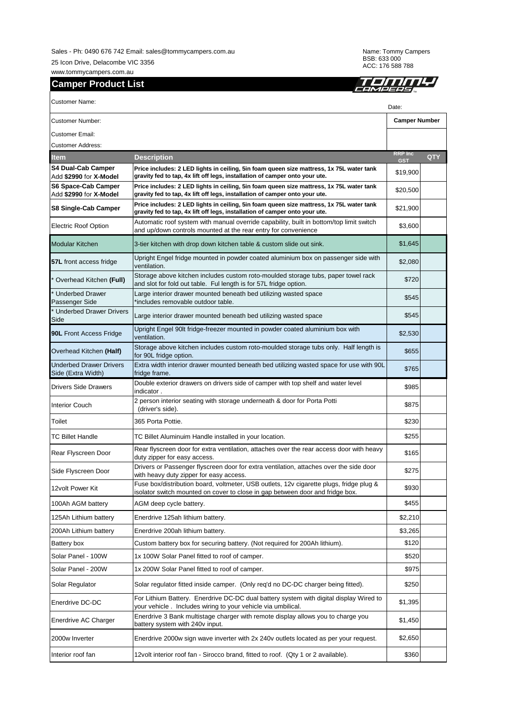Sales - Ph: 0490 676 742 Email: sales@tommycampers.com.au 25 Icon Drive, Delacombe VIC 3356

www.tommycampers.com.au **Camper Product List** Name: Tommy Campers BSB: 633 000 ACC: 176 588 788



|                                               |                                                                                                                                                                          | <u>.HMPEPSA</u>              |            |  |  |
|-----------------------------------------------|--------------------------------------------------------------------------------------------------------------------------------------------------------------------------|------------------------------|------------|--|--|
| <b>Customer Name:</b>                         |                                                                                                                                                                          | Date:                        |            |  |  |
| Customer Number:                              |                                                                                                                                                                          | <b>Camper Number</b>         |            |  |  |
| Customer Email:                               |                                                                                                                                                                          |                              |            |  |  |
| Customer Address:                             |                                                                                                                                                                          |                              |            |  |  |
| ltem                                          | <b>Description</b>                                                                                                                                                       | <b>RRP</b> Inc<br><b>GST</b> | <b>QTY</b> |  |  |
| S4 Dual-Cab Camper<br>Add \$2990 for X-Model  | Price includes: 2 LED lights in ceiling, 5in foam queen size mattress, 1x 75L water tank<br>gravity fed to tap, 4x lift off legs, installation of camper onto your ute.  | \$19,900                     |            |  |  |
| S6 Space-Cab Camper<br>Add \$2990 for X-Model | Price includes: 2 LED lights in ceiling, 5in foam queen size mattress, 1x 75L water tank<br>gravity fed to tap, 4x lift off legs, installation of camper onto your ute.  | \$20,500                     |            |  |  |
| S8 Single-Cab Camper                          | Price includes: 2 LED lights in ceiling, 5in foam queen size mattress, 1x 75L water tank<br>gravity fed to tap, 4x lift off legs, installation of camper onto your ute.  | \$21,900                     |            |  |  |
| Electric Roof Option                          | Automatic roof system with manual override capability, built in bottom/top limit switch<br>and up/down controls mounted at the rear entry for convenience                | \$3,600                      |            |  |  |
| Modular Kitchen                               | 3-tier kitchen with drop down kitchen table & custom slide out sink.                                                                                                     | \$1,645                      |            |  |  |
| <b>57L</b> front access fridge                | Upright Engel fridge mounted in powder coated aluminium box on passenger side with<br>ventilation.                                                                       | \$2,080                      |            |  |  |
| Overhead Kitchen (Full)                       | Storage above kitchen includes custom roto-moulded storage tubs, paper towel rack<br>and slot for fold out table. Ful length is for 57L fridge option.                   | \$720                        |            |  |  |
| <b>Underbed Drawer</b><br>Passenger Side      | Large interior drawer mounted beneath bed utilizing wasted space<br>'includes removable outdoor table.                                                                   | \$545                        |            |  |  |
| <b>Underbed Drawer Drivers</b><br>Side        | Large interior drawer mounted beneath bed utilizing wasted space                                                                                                         | \$545                        |            |  |  |
| 90L Front Access Fridge                       | Upright Engel 90lt fridge-freezer mounted in powder coated aluminium box with<br>ventilation.                                                                            | \$2,530                      |            |  |  |
| Overhead Kitchen (Half)                       | Storage above kitchen includes custom roto-moulded storage tubs only. Half length is<br>for 90L fridge option.                                                           | \$655                        |            |  |  |
| Underbed Drawer Drivers<br>Side (Extra Width) | Extra width interior drawer mounted beneath bed utilizing wasted space for use with 90L<br>fridge frame.                                                                 | \$765                        |            |  |  |
| Drivers Side Drawers                          | Double exterior drawers on drivers side of camper with top shelf and water level<br>indicator.                                                                           | \$985                        |            |  |  |
| <b>Interior Couch</b>                         | 2 person interior seating with storage underneath & door for Porta Potti<br>(driver's side).                                                                             | \$875                        |            |  |  |
| Toilet                                        | 365 Porta Pottie.                                                                                                                                                        | \$230                        |            |  |  |
| <b>TC Billet Handle</b>                       | TC Billet Aluminuim Handle installed in your location.                                                                                                                   | \$255                        |            |  |  |
| Rear Flyscreen Door                           | Rear flyscreen door for extra ventilation, attaches over the rear access door with heavy<br>duty zipper for easy access.                                                 | \$165                        |            |  |  |
| Side Flyscreen Door                           | Drivers or Passenger flyscreen door for extra ventilation, attaches over the side door<br>with heavy duty zipper for easy access.                                        | \$275                        |            |  |  |
| 12volt Power Kit                              | Fuse box/distribution board, voltmeter, USB outlets, 12v cigarette plugs, fridge plug &<br>isolator switch mounted on cover to close in gap between door and fridge box. | \$930                        |            |  |  |
| 100Ah AGM battery                             | AGM deep cycle battery.                                                                                                                                                  | \$455                        |            |  |  |
| 125Ah Lithium battery                         | Enerdrive 125ah lithium battery.                                                                                                                                         | \$2,210                      |            |  |  |
| 200Ah Lithium battery                         | Enerdrive 200ah lithium battery.                                                                                                                                         | \$3,265                      |            |  |  |
| Battery box                                   | Custom battery box for securing battery. (Not required for 200Ah lithium).                                                                                               | \$120                        |            |  |  |
| Solar Panel - 100W                            | 1x 100W Solar Panel fitted to roof of camper.                                                                                                                            | \$520                        |            |  |  |
| Solar Panel - 200W                            | 1x 200W Solar Panel fitted to roof of camper.                                                                                                                            | \$975                        |            |  |  |
| Solar Regulator                               | Solar regulator fitted inside camper. (Only reg'd no DC-DC charger being fitted).                                                                                        | \$250                        |            |  |  |
| Enerdrive DC-DC                               | For Lithium Battery. Enerdrive DC-DC dual battery system with digital display Wired to<br>your vehicle. Includes wiring to your vehicle via umbilical.                   | \$1,395                      |            |  |  |
| Enerdrive AC Charger                          | Enerdrive 3 Bank multistage charger with remote display allows you to charge you<br>battery system with 240v input.                                                      | \$1,450                      |            |  |  |
| 2000w Inverter                                | Enerdrive 2000w sign wave inverter with 2x 240v outlets located as per your request.                                                                                     | \$2,650                      |            |  |  |

Interior roof fan 12volt interior roof fan - Sirocco brand, fitted to roof. (Qty 1 or 2 available). \$360